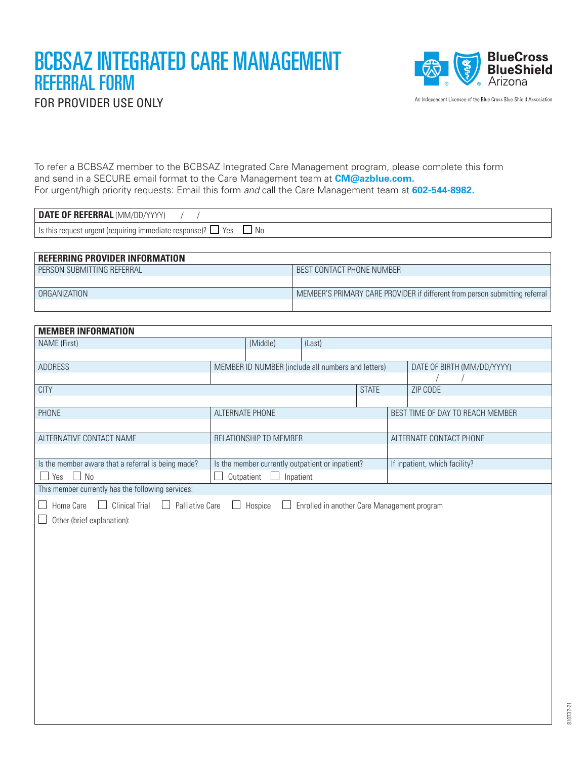## BCBSAZ INTEGRATED CARE MANAGEMENT REFERRAL FORM FOR PROVIDER USE ONLY



An Independent Licensee of the Blue Cross Blue Shield Association

To refer a BCBSAZ member to the BCBSAZ Integrated Care Management program, please complete this form and send in a SECURE email format to the Care Management team at **CM@azblue.com.** For urgent/high priority requests: Email this form *and* call the Care Management team at **602-544-8982.**

| <b>DATE OF REFERRAL</b><br>. (MM/DD/YY'                                                    |  |
|--------------------------------------------------------------------------------------------|--|
| ls this r<br>t (requiring immediate respons<br>No.<br>Yes<br>. uraen*<br>nsel<br>e request |  |

| <b>REFERRING PROVIDER INFORMATION</b> |                                                                             |
|---------------------------------------|-----------------------------------------------------------------------------|
| PERSON SUBMITTING REFERRAL            | BEST CONTACT PHONE NUMBER                                                   |
|                                       |                                                                             |
| ORGANIZATION                          | MEMBER'S PRIMARY CARE PROVIDER if different from person submitting referral |
|                                       |                                                                             |

| <b>MEMBER INFORMATION</b>                                                                 |                                                    |          |        |                            |                                  |          |  |  |
|-------------------------------------------------------------------------------------------|----------------------------------------------------|----------|--------|----------------------------|----------------------------------|----------|--|--|
| NAME (First)                                                                              |                                                    | (Middle) | (Last) |                            |                                  |          |  |  |
|                                                                                           |                                                    |          |        |                            |                                  |          |  |  |
| ADDRESS                                                                                   | MEMBER ID NUMBER (include all numbers and letters) |          |        | DATE OF BIRTH (MM/DD/YYYY) |                                  |          |  |  |
|                                                                                           |                                                    |          |        |                            |                                  |          |  |  |
| <b>CITY</b>                                                                               |                                                    |          |        | <b>STATE</b>               |                                  | ZIP CODE |  |  |
|                                                                                           |                                                    |          |        |                            |                                  |          |  |  |
| <b>PHONE</b>                                                                              | ALTERNATE PHONE                                    |          |        |                            | BEST TIME OF DAY TO REACH MEMBER |          |  |  |
|                                                                                           |                                                    |          |        |                            |                                  |          |  |  |
| ALTERNATIVE CONTACT NAME                                                                  | RELATIONSHIP TO MEMBER                             |          |        |                            | ALTERNATE CONTACT PHONE          |          |  |  |
|                                                                                           |                                                    |          |        |                            |                                  |          |  |  |
| Is the member aware that a referral is being made?                                        | Is the member currently outpatient or inpatient?   |          |        |                            | If inpatient, which facility?    |          |  |  |
| No<br>Yes $\Box$<br>$\mathbf{I}$                                                          | Outpatient<br>Inpatient                            |          |        |                            |                                  |          |  |  |
| This member currently has the following services:                                         |                                                    |          |        |                            |                                  |          |  |  |
| <b>Clinical Trial</b><br>Home Care<br>$\mathbf{L}$<br>$\Box$                              | $\Box$                                             |          |        |                            |                                  |          |  |  |
| Palliative Care<br>Hospice<br>Enrolled in another Care Management program<br>$\mathbf{L}$ |                                                    |          |        |                            |                                  |          |  |  |
| Other (brief explanation):                                                                |                                                    |          |        |                            |                                  |          |  |  |
|                                                                                           |                                                    |          |        |                            |                                  |          |  |  |
|                                                                                           |                                                    |          |        |                            |                                  |          |  |  |
|                                                                                           |                                                    |          |        |                            |                                  |          |  |  |
|                                                                                           |                                                    |          |        |                            |                                  |          |  |  |
|                                                                                           |                                                    |          |        |                            |                                  |          |  |  |
|                                                                                           |                                                    |          |        |                            |                                  |          |  |  |
|                                                                                           |                                                    |          |        |                            |                                  |          |  |  |